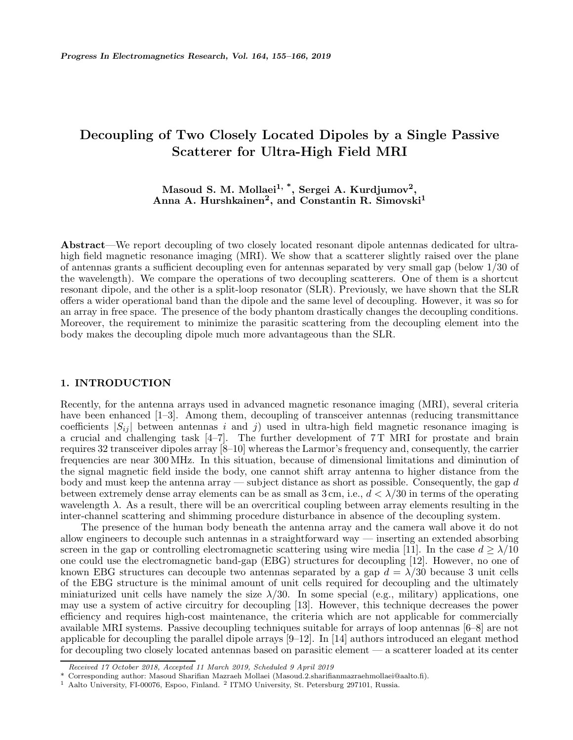## **Decoupling of Two Closely Located Dipoles by a Single Passive Scatterer for Ultra-High Field MRI**

### **Masoud S. M. Mollaei1, \*, Sergei A. Kurdjumov2, Anna A. Hurshkainen2, and Constantin R. Simovski<sup>1</sup>**

**Abstract**—We report decoupling of two closely located resonant dipole antennas dedicated for ultrahigh field magnetic resonance imaging (MRI). We show that a scatterer slightly raised over the plane of antennas grants a sufficient decoupling even for antennas separated by very small gap (below 1/30 of the wavelength). We compare the operations of two decoupling scatterers. One of them is a shortcut resonant dipole, and the other is a split-loop resonator (SLR). Previously, we have shown that the SLR offers a wider operational band than the dipole and the same level of decoupling. However, it was so for an array in free space. The presence of the body phantom drastically changes the decoupling conditions. Moreover, the requirement to minimize the parasitic scattering from the decoupling element into the body makes the decoupling dipole much more advantageous than the SLR.

### **1. INTRODUCTION**

Recently, for the antenna arrays used in advanced magnetic resonance imaging (MRI), several criteria have been enhanced [1–3]. Among them, decoupling of transceiver antennas (reducing transmittance coefficients  $|S_{ij}|$  between antennas i and j) used in ultra-high field magnetic resonance imaging is a crucial and challenging task  $[4-7]$ . The further development of  $7T$  MRI for prostate and brain requires 32 transceiver dipoles array [8–10] whereas the Larmor's frequency and, consequently, the carrier frequencies are near 300 MHz. In this situation, because of dimensional limitations and diminution of the signal magnetic field inside the body, one cannot shift array antenna to higher distance from the body and must keep the antenna array — subject distance as short as possible. Consequently, the gap d between extremely dense array elements can be as small as  $3 \text{ cm}$ , i.e.,  $d < \lambda/30$  in terms of the operating wavelength  $\lambda$ . As a result, there will be an overcritical coupling between array elements resulting in the inter-channel scattering and shimming procedure disturbance in absence of the decoupling system.

The presence of the human body beneath the antenna array and the camera wall above it do not allow engineers to decouple such antennas in a straightforward way — inserting an extended absorbing screen in the gap or controlling electromagnetic scattering using wire media [11]. In the case  $d \geq \lambda/10$ one could use the electromagnetic band-gap (EBG) structures for decoupling [12]. However, no one of known EBG structures can decouple two antennas separated by a gap  $d = \lambda/30$  because 3 unit cells of the EBG structure is the minimal amount of unit cells required for decoupling and the ultimately miniaturized unit cells have namely the size  $\lambda/30$ . In some special (e.g., military) applications, one may use a system of active circuitry for decoupling [13]. However, this technique decreases the power efficiency and requires high-cost maintenance, the criteria which are not applicable for commercially available MRI systems. Passive decoupling techniques suitable for arrays of loop antennas [6–8] are not applicable for decoupling the parallel dipole arrays  $[9-12]$ . In [14] authors introduced an elegant method for decoupling two closely located antennas based on parasitic element — a scatterer loaded at its center

*Received 17 October 2018, Accepted 11 March 2019, Scheduled 9 April 2019*

<sup>\*</sup> Corresponding author: Masoud Sharifian Mazraeh Mollaei (Masoud.2.sharifianmazraehmollaei@aalto.fi).

<sup>1</sup> Aalto University, FI-00076, Espoo, Finland. <sup>2</sup> ITMO University, St. Petersburg 297101, Russia.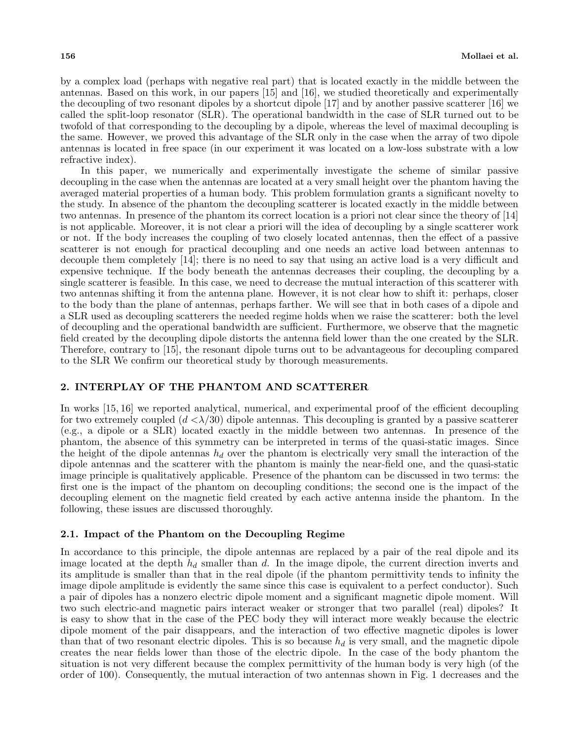by a complex load (perhaps with negative real part) that is located exactly in the middle between the antennas. Based on this work, in our papers [15] and [16], we studied theoretically and experimentally the decoupling of two resonant dipoles by a shortcut dipole [17] and by another passive scatterer [16] we called the split-loop resonator (SLR). The operational bandwidth in the case of SLR turned out to be twofold of that corresponding to the decoupling by a dipole, whereas the level of maximal decoupling is the same. However, we proved this advantage of the SLR only in the case when the array of two dipole antennas is located in free space (in our experiment it was located on a low-loss substrate with a low refractive index).

In this paper, we numerically and experimentally investigate the scheme of similar passive decoupling in the case when the antennas are located at a very small height over the phantom having the averaged material properties of a human body. This problem formulation grants a significant novelty to the study. In absence of the phantom the decoupling scatterer is located exactly in the middle between two antennas. In presence of the phantom its correct location is a priori not clear since the theory of [14] is not applicable. Moreover, it is not clear a priori will the idea of decoupling by a single scatterer work or not. If the body increases the coupling of two closely located antennas, then the effect of a passive scatterer is not enough for practical decoupling and one needs an active load between antennas to decouple them completely [14]; there is no need to say that using an active load is a very difficult and expensive technique. If the body beneath the antennas decreases their coupling, the decoupling by a single scatterer is feasible. In this case, we need to decrease the mutual interaction of this scatterer with two antennas shifting it from the antenna plane. However, it is not clear how to shift it: perhaps, closer to the body than the plane of antennas, perhaps farther. We will see that in both cases of a dipole and a SLR used as decoupling scatterers the needed regime holds when we raise the scatterer: both the level of decoupling and the operational bandwidth are sufficient. Furthermore, we observe that the magnetic field created by the decoupling dipole distorts the antenna field lower than the one created by the SLR. Therefore, contrary to [15], the resonant dipole turns out to be advantageous for decoupling compared to the SLR We confirm our theoretical study by thorough measurements.

### **2. INTERPLAY OF THE PHANTOM AND SCATTERER**

In works [15, 16] we reported analytical, numerical, and experimental proof of the efficient decoupling for two extremely coupled  $(d < \lambda/30)$  dipole antennas. This decoupling is granted by a passive scatterer (e.g., a dipole or a SLR) located exactly in the middle between two antennas. In presence of the phantom, the absence of this symmetry can be interpreted in terms of the quasi-static images. Since the height of the dipole antennas  $h_d$  over the phantom is electrically very small the interaction of the dipole antennas and the scatterer with the phantom is mainly the near-field one, and the quasi-static image principle is qualitatively applicable. Presence of the phantom can be discussed in two terms: the first one is the impact of the phantom on decoupling conditions; the second one is the impact of the decoupling element on the magnetic field created by each active antenna inside the phantom. In the following, these issues are discussed thoroughly.

#### **2.1. Impact of the Phantom on the Decoupling Regime**

In accordance to this principle, the dipole antennas are replaced by a pair of the real dipole and its image located at the depth  $h_d$  smaller than  $d$ . In the image dipole, the current direction inverts and its amplitude is smaller than that in the real dipole (if the phantom permittivity tends to infinity the image dipole amplitude is evidently the same since this case is equivalent to a perfect conductor). Such a pair of dipoles has a nonzero electric dipole moment and a significant magnetic dipole moment. Will two such electric-and magnetic pairs interact weaker or stronger that two parallel (real) dipoles? It is easy to show that in the case of the PEC body they will interact more weakly because the electric dipole moment of the pair disappears, and the interaction of two effective magnetic dipoles is lower than that of two resonant electric dipoles. This is so because  $h_d$  is very small, and the magnetic dipole creates the near fields lower than those of the electric dipole. In the case of the body phantom the situation is not very different because the complex permittivity of the human body is very high (of the order of 100). Consequently, the mutual interaction of two antennas shown in Fig. 1 decreases and the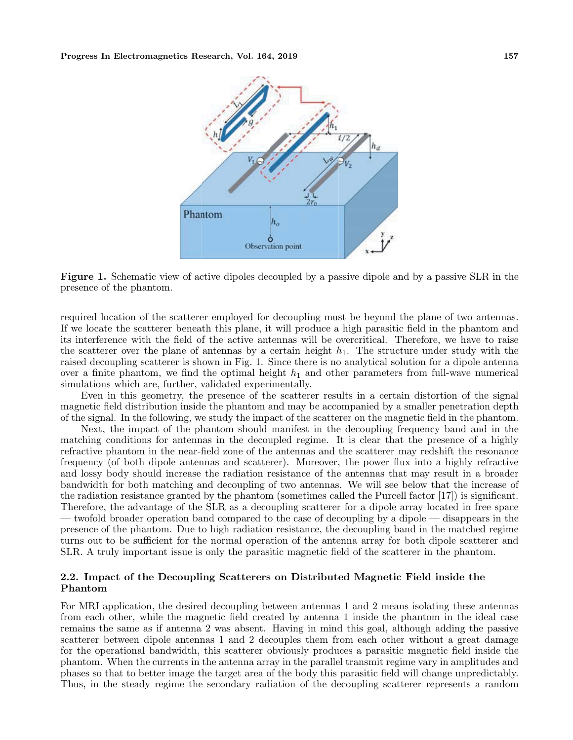

**Figure 1.** Schematic view of active dipoles decoupled by a passive dipole and by a passive SLR in the presence of the phantom.

required location of the scatterer employed for decoupling must be beyond the plane of two antennas. If we locate the scatterer beneath this plane, it will produce a high parasitic field in the phantom and its interference with the field of the active antennas will be overcritical. Therefore, we have to raise the scatterer over the plane of antennas by a certain height  $h_1$ . The structure under study with the raised decoupling scatterer is shown in Fig. 1. Since there is no analytical solution for a dipole antenna over a finite phantom, we find the optimal height  $h_1$  and other parameters from full-wave numerical simulations which are, further, validated experimentally.

Even in this geometry, the presence of the scatterer results in a certain distortion of the signal magnetic field distribution inside the phantom and may be accompanied by a smaller penetration depth of the signal. In the following, we study the impact of the scatterer on the magnetic field in the phantom.

Next, the impact of the phantom should manifest in the decoupling frequency band and in the matching conditions for antennas in the decoupled regime. It is clear that the presence of a highly refractive phantom in the near-field zone of the antennas and the scatterer may redshift the resonance frequency (of both dipole antennas and scatterer). Moreover, the power flux into a highly refractive and lossy body should increase the radiation resistance of the antennas that may result in a broader bandwidth for both matching and decoupling of two antennas. We will see below that the increase of the radiation resistance granted by the phantom (sometimes called the Purcell factor [17]) is significant. Therefore, the advantage of the SLR as a decoupling scatterer for a dipole array located in free space — twofold broader operation band compared to the case of decoupling by a dipole — disappears in the presence of the phantom. Due to high radiation resistance, the decoupling band in the matched regime turns out to be sufficient for the normal operation of the antenna array for both dipole scatterer and SLR. A truly important issue is only the parasitic magnetic field of the scatterer in the phantom.

### **2.2. Impact of the Decoupling Scatterers on Distributed Magnetic Field inside the Phantom**

For MRI application, the desired decoupling between antennas 1 and 2 means isolating these antennas from each other, while the magnetic field created by antenna 1 inside the phantom in the ideal case remains the same as if antenna 2 was absent. Having in mind this goal, although adding the passive scatterer between dipole antennas 1 and 2 decouples them from each other without a great damage for the operational bandwidth, this scatterer obviously produces a parasitic magnetic field inside the phantom. When the currents in the antenna array in the parallel transmit regime vary in amplitudes and phases so that to better image the target area of the body this parasitic field will change unpredictably. Thus, in the steady regime the secondary radiation of the decoupling scatterer represents a random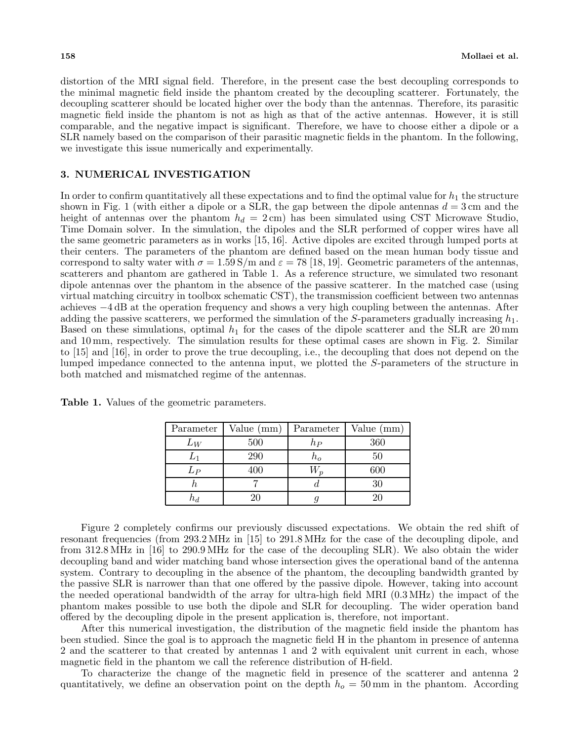distortion of the MRI signal field. Therefore, in the present case the best decoupling corresponds to the minimal magnetic field inside the phantom created by the decoupling scatterer. Fortunately, the decoupling scatterer should be located higher over the body than the antennas. Therefore, its parasitic magnetic field inside the phantom is not as high as that of the active antennas. However, it is still comparable, and the negative impact is significant. Therefore, we have to choose either a dipole or a SLR namely based on the comparison of their parasitic magnetic fields in the phantom. In the following, we investigate this issue numerically and experimentally.

### **3. NUMERICAL INVESTIGATION**

In order to confirm quantitatively all these expectations and to find the optimal value for  $h_1$  the structure shown in Fig. 1 (with either a dipole or a SLR, the gap between the dipole antennas  $d = 3$  cm and the height of antennas over the phantom  $h_d = 2 \,\text{cm}$  has been simulated using CST Microwave Studio, Time Domain solver. In the simulation, the dipoles and the SLR performed of copper wires have all the same geometric parameters as in works [15, 16]. Active dipoles are excited through lumped ports at their centers. The parameters of the phantom are defined based on the mean human body tissue and correspond to salty water with  $\sigma = 1.59 S/m$  and  $\varepsilon = 78 [18, 19]$ . Geometric parameters of the antennas, scatterers and phantom are gathered in Table 1. As a reference structure, we simulated two resonant dipole antennas over the phantom in the absence of the passive scatterer. In the matched case (using virtual matching circuitry in toolbox schematic CST), the transmission coefficient between two antennas achieves −4 dB at the operation frequency and shows a very high coupling between the antennas. After adding the passive scatterers, we performed the simulation of the S-parameters gradually increasing  $h_1$ . Based on these simulations, optimal  $h_1$  for the cases of the dipole scatterer and the SLR are 20 mm and 10 mm, respectively. The simulation results for these optimal cases are shown in Fig. 2. Similar to [15] and [16], in order to prove the true decoupling, i.e., the decoupling that does not depend on the lumped impedance connected to the antenna input, we plotted the S-parameters of the structure in both matched and mismatched regime of the antennas.

| Parameter | Value (mm) | Parameter | Value $(mm)$ |
|-----------|------------|-----------|--------------|
| $_{LW}$   | 500        | $h_P$     | 360          |
|           | 290        | $n_o$     | 50           |
| $L_P$     | 400        |           | 600          |
|           |            |           | 30           |
|           |            |           |              |

**Table 1.** Values of the geometric parameters.

Figure 2 completely confirms our previously discussed expectations. We obtain the red shift of resonant frequencies (from 293.2 MHz in [15] to 291.8 MHz for the case of the decoupling dipole, and from 312.8 MHz in [16] to 290.9 MHz for the case of the decoupling SLR). We also obtain the wider decoupling band and wider matching band whose intersection gives the operational band of the antenna system. Contrary to decoupling in the absence of the phantom, the decoupling bandwidth granted by the passive SLR is narrower than that one offered by the passive dipole. However, taking into account the needed operational bandwidth of the array for ultra-high field MRI (0.3 MHz) the impact of the phantom makes possible to use both the dipole and SLR for decoupling. The wider operation band offered by the decoupling dipole in the present application is, therefore, not important.

After this numerical investigation, the distribution of the magnetic field inside the phantom has been studied. Since the goal is to approach the magnetic field H in the phantom in presence of antenna 2 and the scatterer to that created by antennas 1 and 2 with equivalent unit current in each, whose magnetic field in the phantom we call the reference distribution of H-field.

To characterize the change of the magnetic field in presence of the scatterer and antenna 2 quantitatively, we define an observation point on the depth  $h<sub>o</sub> = 50$  mm in the phantom. According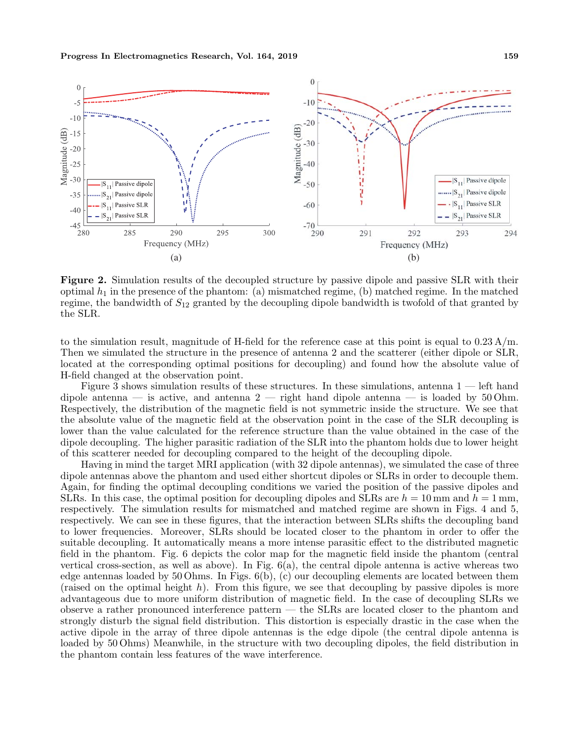## **Progress In Electromagnetics Research, Vol. 164, 2019 159**



**Figure 2.** Simulation results of the decoupled structure by passive dipole and passive SLR with their optimal  $h_1$  in the presence of the phantom: (a) mismatched regime, (b) matched regime. In the matched regime, the bandwidth of  $S_{12}$  granted by the decoupling dipole bandwidth is twofold of that granted by the SLR.

to the simulation result, magnitude of H-field for the reference case at this point is equal to  $0.23 \text{ A/m}$ . Then we simulated the structure in the presence of antenna 2 and the scatterer (either dipole or SLR, located at the corresponding optimal positions for decoupling) and found how the absolute value of H-field changed at the observation point.

Figure 3 shows simulation results of these structures. In these simulations, antenna  $1$  — left hand dipole antenna — is active, and antenna  $2$  — right hand dipole antenna — is loaded by 50 Ohm. Respectively, the distribution of the magnetic field is not symmetric inside the structure. We see that the absolute value of the magnetic field at the observation point in the case of the SLR decoupling is lower than the value calculated for the reference structure than the value obtained in the case of the dipole decoupling. The higher parasitic radiation of the SLR into the phantom holds due to lower height of this scatterer needed for decoupling compared to the height of the decoupling dipole.

Having in mind the target MRI application (with 32 dipole antennas), we simulated the case of three dipole antennas above the phantom and used either shortcut dipoles or SLRs in order to decouple them. Again, for finding the optimal decoupling conditions we varied the position of the passive dipoles and SLRs. In this case, the optimal position for decoupling dipoles and SLRs are  $h = 10$  mm and  $h = 1$  mm, respectively. The simulation results for mismatched and matched regime are shown in Figs. 4 and 5, respectively. We can see in these figures, that the interaction between SLRs shifts the decoupling band to lower frequencies. Moreover, SLRs should be located closer to the phantom in order to offer the suitable decoupling. It automatically means a more intense parasitic effect to the distributed magnetic field in the phantom. Fig. 6 depicts the color map for the magnetic field inside the phantom (central vertical cross-section, as well as above). In Fig. 6(a), the central dipole antenna is active whereas two edge antennas loaded by  $50 \text{ Ohms}$ . In Figs.  $6(b)$ , (c) our decoupling elements are located between them (raised on the optimal height  $h$ ). From this figure, we see that decoupling by passive dipoles is more advantageous due to more uniform distribution of magnetic field. In the case of decoupling SLRs we observe a rather pronounced interference pattern — the SLRs are located closer to the phantom and strongly disturb the signal field distribution. This distortion is especially drastic in the case when the active dipole in the array of three dipole antennas is the edge dipole (the central dipole antenna is loaded by 50 Ohms) Meanwhile, in the structure with two decoupling dipoles, the field distribution in the phantom contain less features of the wave interference.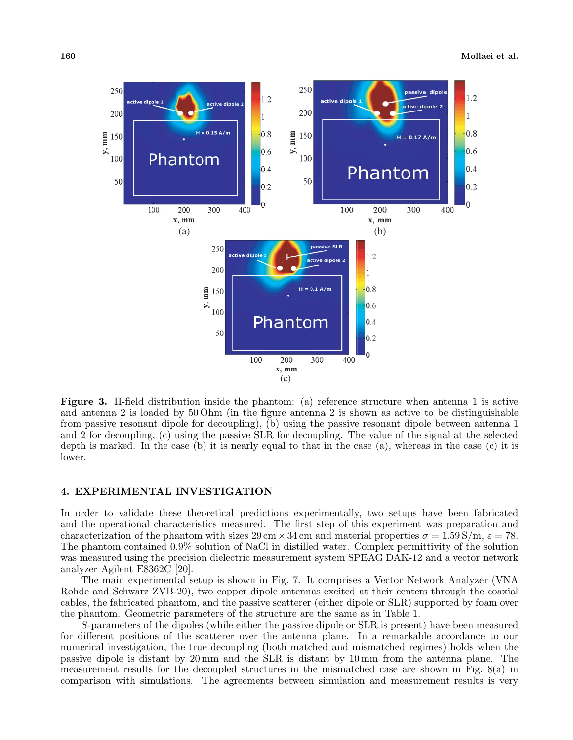

**Figure 3.** H-field distribution inside the phantom: (a) reference structure when antenna 1 is active and antenna 2 is loaded by 50 Ohm (in the figure antenna 2 is shown as active to be distinguishable from passive resonant dipole for decoupling), (b) using the passive resonant dipole between antenna 1 and 2 for decoupling, (c) using the passive SLR for decoupling. The value of the signal at the selected depth is marked. In the case  $(b)$  it is nearly equal to that in the case  $(a)$ , whereas in the case  $(c)$  it is lower.

#### **4. EXPERIMENTAL INVESTIGATION**

In order to validate these theoretical predictions experimentally, two setups have been fabricated and the operational characteristics measured. The first step of this experiment was preparation and characterization of the phantom with sizes  $29 \text{ cm} \times 34 \text{ cm}$  and material properties  $\sigma = 1.59 \text{ S/m}, \varepsilon = 78$ . The phantom contained 0.9% solution of NaCl in distilled water. Complex permittivity of the solution was measured using the precision dielectric measurement system SPEAG DAK-12 and a vector network analyzer Agilent E8362C [20].

The main experimental setup is shown in Fig. 7. It comprises a Vector Network Analyzer (VNA Rohde and Schwarz ZVB-20), two copper dipole antennas excited at their centers through the coaxial cables, the fabricated phantom, and the passive scatterer (either dipole or SLR) supported by foam over the phantom. Geometric parameters of the structure are the same as in Table 1.

S-parameters of the dipoles (while either the passive dipole or SLR is present) have been measured for different positions of the scatterer over the antenna plane. In a remarkable accordance to our numerical investigation, the true decoupling (both matched and mismatched regimes) holds when the passive dipole is distant by 20 mm and the SLR is distant by 10 mm from the antenna plane. The measurement results for the decoupled structures in the mismatched case are shown in Fig. 8(a) in comparison with simulations. The agreements between simulation and measurement results is very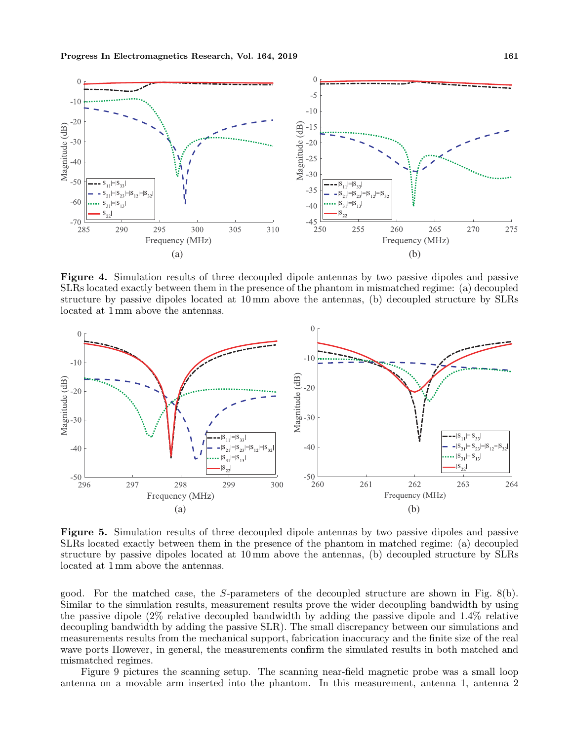

**Figure 4.** Simulation results of three decoupled dipole antennas by two passive dipoles and passive SLRs located exactly between them in the presence of the phantom in mismatched regime: (a) decoupled structure by passive dipoles located at 10 mm above the antennas, (b) decoupled structure by SLRs located at 1 mm above the antennas.



**Figure 5.** Simulation results of three decoupled dipole antennas by two passive dipoles and passive SLRs located exactly between them in the presence of the phantom in matched regime: (a) decoupled structure by passive dipoles located at 10 mm above the antennas, (b) decoupled structure by SLRs located at 1 mm above the antennas.

good. For the matched case, the S-parameters of the decoupled structure are shown in Fig. 8(b). Similar to the simulation results, measurement results prove the wider decoupling bandwidth by using the passive dipole (2% relative decoupled bandwidth by adding the passive dipole and 1.4% relative decoupling bandwidth by adding the passive SLR). The small discrepancy between our simulations and measurements results from the mechanical support, fabrication inaccuracy and the finite size of the real wave ports However, in general, the measurements confirm the simulated results in both matched and mismatched regimes.

Figure 9 pictures the scanning setup. The scanning near-field magnetic probe was a small loop antenna on a movable arm inserted into the phantom. In this measurement, antenna 1, antenna 2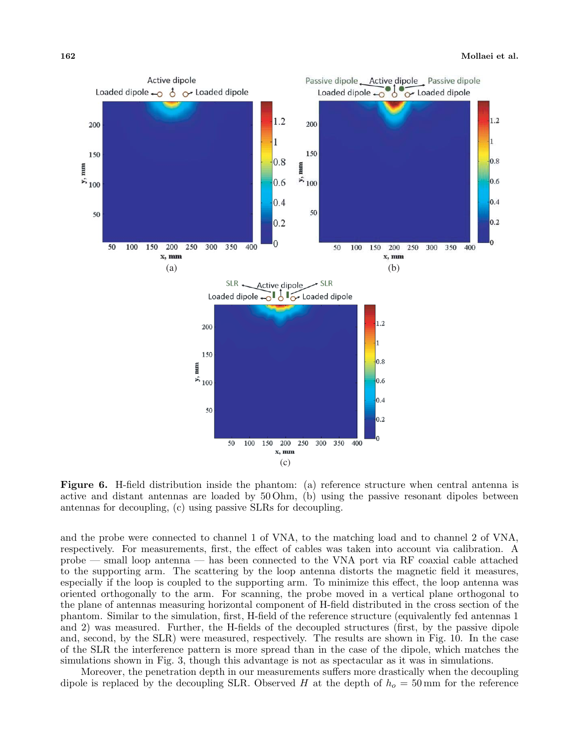

**Figure 6.** H-field distribution inside the phantom: (a) reference structure when central antenna is active and distant antennas are loaded by 50 Ohm, (b) using the passive resonant dipoles between antennas for decoupling, (c) using passive SLRs for decoupling.

and the probe were connected to channel 1 of VNA, to the matching load and to channel 2 of VNA, respectively. For measurements, first, the effect of cables was taken into account via calibration. A probe — small loop antenna — has been connected to the VNA port via RF coaxial cable attached to the supporting arm. The scattering by the loop antenna distorts the magnetic field it measures, especially if the loop is coupled to the supporting arm. To minimize this effect, the loop antenna was oriented orthogonally to the arm. For scanning, the probe moved in a vertical plane orthogonal to the plane of antennas measuring horizontal component of H-field distributed in the cross section of the phantom. Similar to the simulation, first, H-field of the reference structure (equivalently fed antennas 1 and 2) was measured. Further, the H-fields of the decoupled structures (first, by the passive dipole and, second, by the SLR) were measured, respectively. The results are shown in Fig. 10. In the case of the SLR the interference pattern is more spread than in the case of the dipole, which matches the simulations shown in Fig. 3, though this advantage is not as spectacular as it was in simulations.

Moreover, the penetration depth in our measurements suffers more drastically when the decoupling dipole is replaced by the decoupling SLR. Observed H at the depth of  $h<sub>o</sub> = 50$  mm for the reference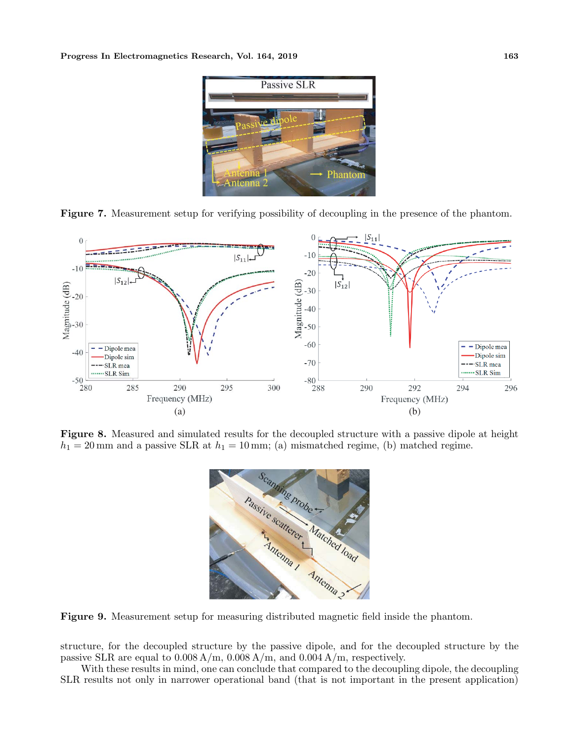





**Figure 8.** Measured and simulated results for the decoupled structure with a passive dipole at height  $h_1 = 20$  mm and a passive SLR at  $h_1 = 10$  mm; (a) mismatched regime, (b) matched regime.



**Figure 9.** Measurement setup for measuring distributed magnetic field inside the phantom.

structure, for the decoupled structure by the passive dipole, and for the decoupled structure by the passive SLR are equal to  $0.008 \text{ A/m}$ ,  $0.008 \text{ A/m}$ , and  $0.004 \text{ A/m}$ , respectively.

With these results in mind, one can conclude that compared to the decoupling dipole, the decoupling SLR results not only in narrower operational band (that is not important in the present application)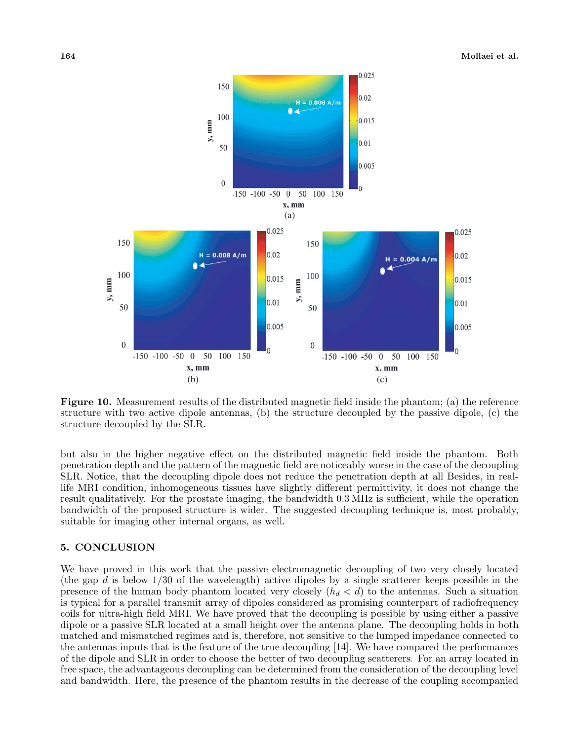

**Figure 10.** Measurement results of the distributed magnetic field inside the phantom; (a) the reference structure with two active dipole antennas, (b) the structure decoupled by the passive dipole, (c) the structure decoupled by the SLR.

but also in the higher negative effect on the distributed magnetic field inside the phantom. Both penetration depth and the pattern of the magnetic field are noticeably worse in the case of the decoupling SLR. Notice, that the decoupling dipole does not reduce the penetration depth at all Besides, in reallife MRI condition, inhomogeneous tissues have slightly different permittivity, it does not change the result qualitatively. For the prostate imaging, the bandwidth 0.3 MHz is sufficient, while the operation bandwidth of the proposed structure is wider. The suggested decoupling technique is, most probably, suitable for imaging other internal organs, as well.

#### **5. CONCLUSION**

We have proved in this work that the passive electromagnetic decoupling of two very closely located (the gap  $d$  is below  $1/30$  of the wavelength) active dipoles by a single scatterer keeps possible in the presence of the human body phantom located very closely  $(h_d < d)$  to the antennas. Such a situation is typical for a parallel transmit array of dipoles considered as promising counterpart of radiofrequency coils for ultra-high field MRI. We have proved that the decoupling is possible by using either a passive dipole or a passive SLR located at a small height over the antenna plane. The decoupling holds in both matched and mismatched regimes and is, therefore, not sensitive to the lumped impedance connected to the antennas inputs that is the feature of the true decoupling [14]. We have compared the performances of the dipole and SLR in order to choose the better of two decoupling scatterers. For an array located in free space, the advantageous decoupling can be determined from the consideration of the decoupling level and bandwidth. Here, the presence of the phantom results in the decrease of the coupling accompanied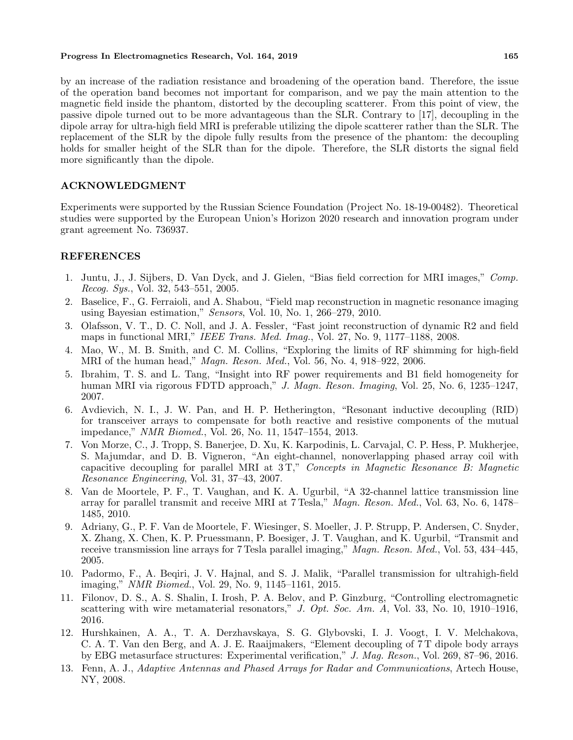# **Progress In Electromagnetics Research, Vol. 164, 2019 165**

by an increase of the radiation resistance and broadening of the operation band. Therefore, the issue of the operation band becomes not important for comparison, and we pay the main attention to the magnetic field inside the phantom, distorted by the decoupling scatterer. From this point of view, the passive dipole turned out to be more advantageous than the SLR. Contrary to [17], decoupling in the dipole array for ultra-high field MRI is preferable utilizing the dipole scatterer rather than the SLR. The replacement of the SLR by the dipole fully results from the presence of the phantom: the decoupling holds for smaller height of the SLR than for the dipole. Therefore, the SLR distorts the signal field more significantly than the dipole.

### **ACKNOWLEDGMENT**

Experiments were supported by the Russian Science Foundation (Project No. 18-19-00482). Theoretical studies were supported by the European Union's Horizon 2020 research and innovation program under grant agreement No. 736937.

### **REFERENCES**

- 1. Juntu, J., J. Sijbers, D. Van Dyck, and J. Gielen, "Bias field correction for MRI images," *Comp. Recog. Sys.*, Vol. 32, 543–551, 2005.
- 2. Baselice, F., G. Ferraioli, and A. Shabou, "Field map reconstruction in magnetic resonance imaging using Bayesian estimation," *Sensors*, Vol. 10, No. 1, 266–279, 2010.
- 3. Olafsson, V. T., D. C. Noll, and J. A. Fessler, "Fast joint reconstruction of dynamic R2 and field maps in functional MRI," *IEEE Trans. Med. Imag.*, Vol. 27, No. 9, 1177–1188, 2008.
- 4. Mao, W., M. B. Smith, and C. M. Collins, "Exploring the limits of RF shimming for high-field MRI of the human head," *Magn. Reson. Med.*, Vol. 56, No. 4, 918–922, 2006.
- 5. Ibrahim, T. S. and L. Tang, "Insight into RF power requirements and B1 field homogeneity for human MRI via rigorous FDTD approach," *J. Magn. Reson. Imaging*, Vol. 25, No. 6, 1235–1247, 2007.
- 6. Avdievich, N. I., J. W. Pan, and H. P. Hetherington, "Resonant inductive decoupling (RID) for transceiver arrays to compensate for both reactive and resistive components of the mutual impedance," *NMR Biomed.*, Vol. 26, No. 11, 1547–1554, 2013.
- 7. Von Morze, C., J. Tropp, S. Banerjee, D. Xu, K. Karpodinis, L. Carvajal, C. P. Hess, P. Mukherjee, S. Majumdar, and D. B. Vigneron, "An eight-channel, nonoverlapping phased array coil with capacitive decoupling for parallel MRI at 3 T," *Concepts in Magnetic Resonance B: Magnetic Resonance Engineering*, Vol. 31, 37–43, 2007.
- 8. Van de Moortele, P. F., T. Vaughan, and K. A. Ugurbil, "A 32-channel lattice transmission line array for parallel transmit and receive MRI at 7 Tesla," *Magn. Reson. Med.*, Vol. 63, No. 6, 1478– 1485, 2010.
- 9. Adriany, G., P. F. Van de Moortele, F. Wiesinger, S. Moeller, J. P. Strupp, P. Andersen, C. Snyder, X. Zhang, X. Chen, K. P. Pruessmann, P. Boesiger, J. T. Vaughan, and K. Ugurbil, "Transmit and receive transmission line arrays for 7 Tesla parallel imaging," *Magn. Reson. Med.*, Vol. 53, 434–445, 2005.
- 10. Padormo, F., A. Beqiri, J. V. Hajnal, and S. J. Malik, "Parallel transmission for ultrahigh-field imaging," *NMR Biomed.*, Vol. 29, No. 9, 1145–1161, 2015.
- 11. Filonov, D. S., A. S. Shalin, I. Irosh, P. A. Belov, and P. Ginzburg, "Controlling electromagnetic scattering with wire metamaterial resonators," *J. Opt. Soc. Am. A*, Vol. 33, No. 10, 1910–1916, 2016.
- 12. Hurshkainen, A. A., T. A. Derzhavskaya, S. G. Glybovski, I. J. Voogt, I. V. Melchakova, C. A. T. Van den Berg, and A. J. E. Raaijmakers, "Element decoupling of 7 T dipole body arrays by EBG metasurface structures: Experimental verification," *J. Mag. Reson.*, Vol. 269, 87–96, 2016.
- 13. Fenn, A. J., *Adaptive Antennas and Phased Arrays for Radar and Communications*, Artech House, NY, 2008.